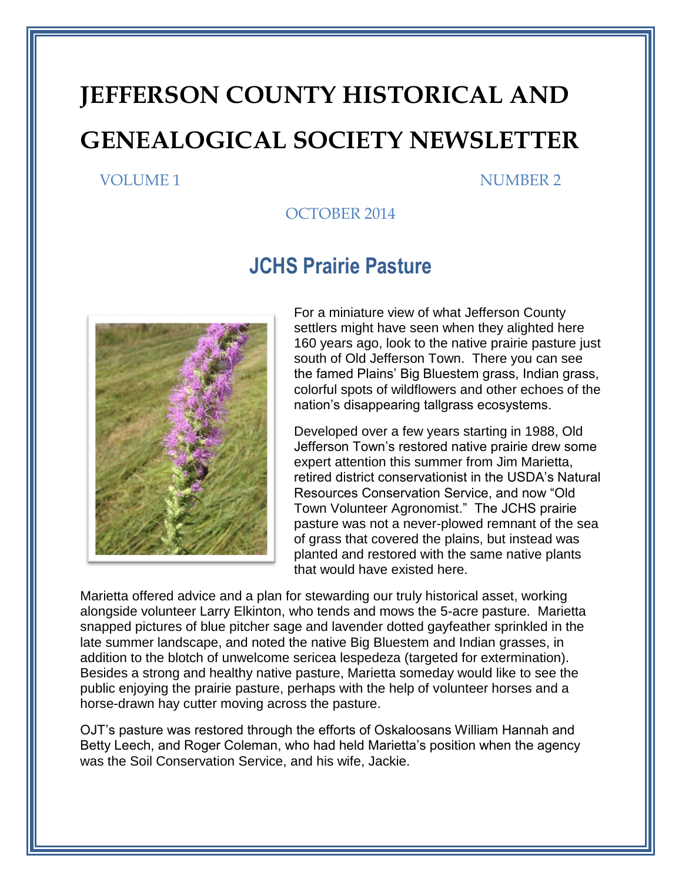# **JEFFERSON COUNTY HISTORICAL AND GENEALOGICAL SOCIETY NEWSLETTER**

#### VOLUME 1 NUMBER 2

#### OCTOBER 2014

#### **JCHS Prairie Pasture**



For a miniature view of what Jefferson County settlers might have seen when they alighted here 160 years ago, look to the native prairie pasture just south of Old Jefferson Town. There you can see the famed Plains' Big Bluestem grass, Indian grass, colorful spots of wildflowers and other echoes of the nation's disappearing tallgrass ecosystems.

Developed over a few years starting in 1988, Old Jefferson Town's restored native prairie drew some expert attention this summer from Jim Marietta, retired district conservationist in the USDA's Natural Resources Conservation Service, and now "Old Town Volunteer Agronomist." The JCHS prairie pasture was not a never-plowed remnant of the sea of grass that covered the plains, but instead was planted and restored with the same native plants that would have existed here.

Marietta offered advice and a plan for stewarding our truly historical asset, working alongside volunteer Larry Elkinton, who tends and mows the 5-acre pasture. Marietta snapped pictures of blue pitcher sage and lavender dotted gayfeather sprinkled in the late summer landscape, and noted the native Big Bluestem and Indian grasses, in addition to the blotch of unwelcome sericea lespedeza (targeted for extermination). Besides a strong and healthy native pasture, Marietta someday would like to see the public enjoying the prairie pasture, perhaps with the help of volunteer horses and a horse-drawn hay cutter moving across the pasture.

OJT's pasture was restored through the efforts of Oskaloosans William Hannah and Betty Leech, and Roger Coleman, who had held Marietta's position when the agency was the Soil Conservation Service, and his wife, Jackie.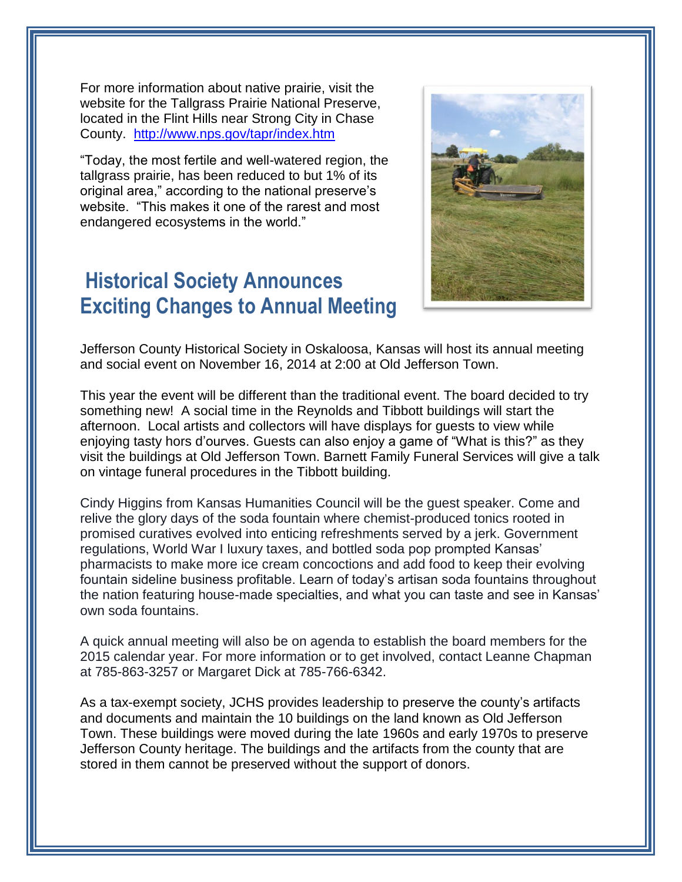For more information about native prairie, visit the website for the Tallgrass Prairie National Preserve, located in the Flint Hills near Strong City in Chase County. <http://www.nps.gov/tapr/index.htm>

"Today, the most fertile and well-watered region, the tallgrass prairie, has been reduced to but 1% of its original area," according to the national preserve's website. "This makes it one of the rarest and most endangered ecosystems in the world."

#### **Historical Society Announces Exciting Changes to Annual Meeting**



Jefferson County Historical Society in Oskaloosa, Kansas will host its annual meeting and social event on November 16, 2014 at 2:00 at Old Jefferson Town.

This year the event will be different than the traditional event. The board decided to try something new! A social time in the Reynolds and Tibbott buildings will start the afternoon. Local artists and collectors will have displays for guests to view while enjoying tasty hors d'ourves. Guests can also enjoy a game of "What is this?" as they visit the buildings at Old Jefferson Town. Barnett Family Funeral Services will give a talk on vintage funeral procedures in the Tibbott building.

Cindy Higgins from Kansas Humanities Council will be the guest speaker. Come and relive the glory days of the soda fountain where chemist-produced tonics rooted in promised curatives evolved into enticing refreshments served by a jerk. Government regulations, World War I luxury taxes, and bottled soda pop prompted Kansas' pharmacists to make more ice cream concoctions and add food to keep their evolving fountain sideline business profitable. Learn of today's artisan soda fountains throughout the nation featuring house-made specialties, and what you can taste and see in Kansas' own soda fountains.

A quick annual meeting will also be on agenda to establish the board members for the 2015 calendar year. For more information or to get involved, contact Leanne Chapman at 785-863-3257 or Margaret Dick at 785-766-6342.

As a tax-exempt society, JCHS provides leadership to preserve the county's artifacts and documents and maintain the 10 buildings on the land known as Old Jefferson Town. These buildings were moved during the late 1960s and early 1970s to preserve Jefferson County heritage. The buildings and the artifacts from the county that are stored in them cannot be preserved without the support of donors.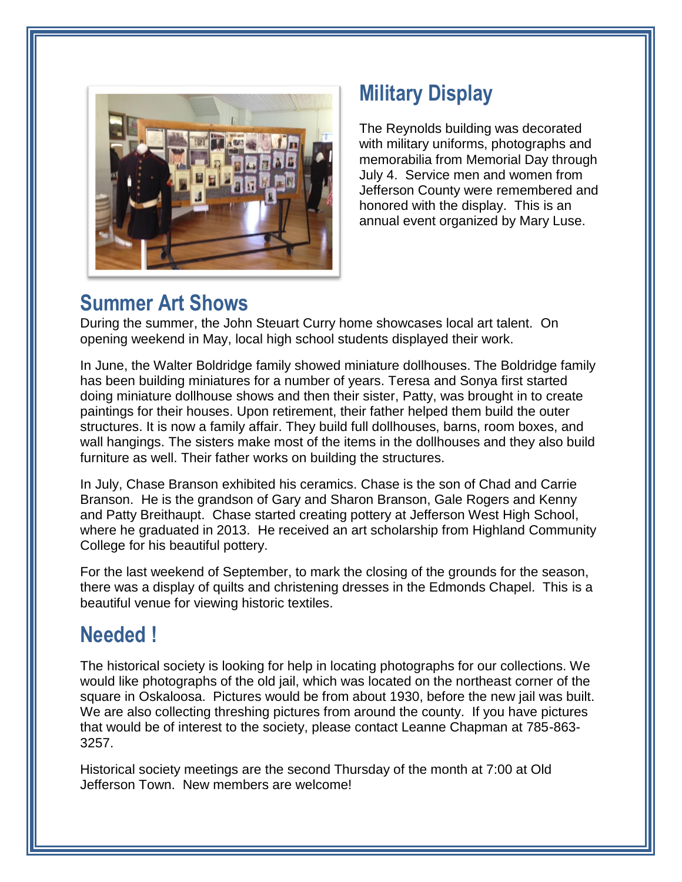

# **Military Display**

The Reynolds building was decorated with military uniforms, photographs and memorabilia from Memorial Day through July 4. Service men and women from Jefferson County were remembered and honored with the display. This is an annual event organized by Mary Luse.

### **Summer Art Shows**

During the summer, the John Steuart Curry home showcases local art talent. On opening weekend in May, local high school students displayed their work.

In June, the Walter Boldridge family showed miniature dollhouses. The Boldridge family has been building miniatures for a number of years. Teresa and Sonya first started doing miniature dollhouse shows and then their sister, Patty, was brought in to create paintings for their houses. Upon retirement, their father helped them build the outer structures. It is now a family affair. They build full dollhouses, barns, room boxes, and wall hangings. The sisters make most of the items in the dollhouses and they also build furniture as well. Their father works on building the structures.

In July, Chase Branson exhibited his ceramics. Chase is the son of Chad and Carrie Branson. He is the grandson of Gary and Sharon Branson, Gale Rogers and Kenny and Patty Breithaupt. Chase started creating pottery at Jefferson West High School, where he graduated in 2013. He received an art scholarship from Highland Community College for his beautiful pottery.

For the last weekend of September, to mark the closing of the grounds for the season, there was a display of quilts and christening dresses in the Edmonds Chapel. This is a beautiful venue for viewing historic textiles.

## **Needed !**

The historical society is looking for help in locating photographs for our collections. We would like photographs of the old jail, which was located on the northeast corner of the square in Oskaloosa. Pictures would be from about 1930, before the new jail was built. We are also collecting threshing pictures from around the county. If you have pictures that would be of interest to the society, please contact Leanne Chapman at 785-863- 3257.

Historical society meetings are the second Thursday of the month at 7:00 at Old Jefferson Town. New members are welcome!